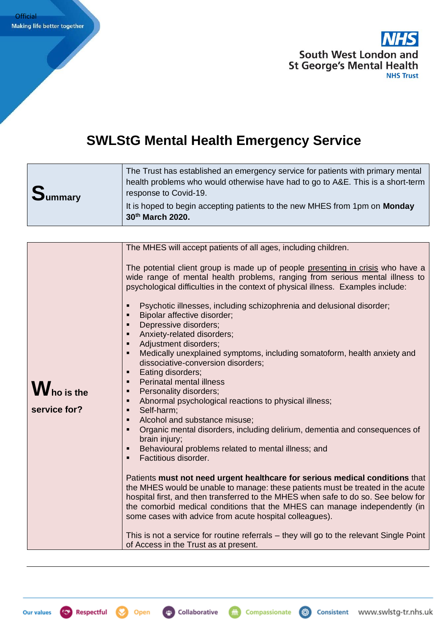

## **SWLStG Mental Health Emergency Service**

| <b>Summary</b> | The Trust has established an emergency service for patients with primary mental<br>health problems who would otherwise have had to go to A&E. This is a short-term<br>response to Covid-19. |
|----------------|---------------------------------------------------------------------------------------------------------------------------------------------------------------------------------------------|
|                | It is hoped to begin accepting patients to the new MHES from 1pm on Monday<br>30th March 2020.                                                                                              |

|                                    | The MHES will accept patients of all ages, including children.                                                                                                                                                                                                                                                                                                                                                                                                                                                                                                                                                                                                                                                                                                                                                                                                                                                                                                                                                                                                                              |
|------------------------------------|---------------------------------------------------------------------------------------------------------------------------------------------------------------------------------------------------------------------------------------------------------------------------------------------------------------------------------------------------------------------------------------------------------------------------------------------------------------------------------------------------------------------------------------------------------------------------------------------------------------------------------------------------------------------------------------------------------------------------------------------------------------------------------------------------------------------------------------------------------------------------------------------------------------------------------------------------------------------------------------------------------------------------------------------------------------------------------------------|
| <b>W</b> ho is the<br>service for? | The potential client group is made up of people presenting in crisis who have a<br>wide range of mental health problems, ranging from serious mental illness to<br>psychological difficulties in the context of physical illness. Examples include:<br>Psychotic illnesses, including schizophrenia and delusional disorder;<br>Bipolar affective disorder;<br>Depressive disorders;<br>Anxiety-related disorders;<br>Adjustment disorders;<br>Medically unexplained symptoms, including somatoform, health anxiety and<br>dissociative-conversion disorders;<br>Eating disorders;<br>$\blacksquare$<br>Perinatal mental illness<br>Personality disorders;<br>٠<br>Abnormal psychological reactions to physical illness;<br>$\blacksquare$<br>Self-harm;<br>$\blacksquare$<br>Alcohol and substance misuse;<br>$\blacksquare$<br>Organic mental disorders, including delirium, dementia and consequences of<br>brain injury;<br>Behavioural problems related to mental illness; and<br>Factitious disorder.<br>Patients must not need urgent healthcare for serious medical conditions that |
|                                    | the MHES would be unable to manage: these patients must be treated in the acute<br>hospital first, and then transferred to the MHES when safe to do so. See below for<br>the comorbid medical conditions that the MHES can manage independently (in<br>some cases with advice from acute hospital colleagues).                                                                                                                                                                                                                                                                                                                                                                                                                                                                                                                                                                                                                                                                                                                                                                              |
|                                    | This is not a service for routine referrals – they will go to the relevant Single Point<br>of Access in the Trust as at present.                                                                                                                                                                                                                                                                                                                                                                                                                                                                                                                                                                                                                                                                                                                                                                                                                                                                                                                                                            |

**(O)** Respectful Open

 $\left(\frac{1}{2} + \frac{1}{2}\right)$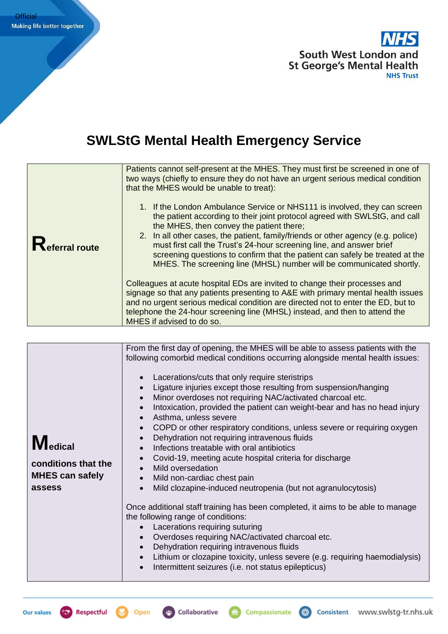

## **SWLStG Mental Health Emergency Service**

| eferral route | Patients cannot self-present at the MHES. They must first be screened in one of<br>two ways (chiefly to ensure they do not have an urgent serious medical condition<br>that the MHES would be unable to treat):                                                                                                                                                                                                                                                                                                         |
|---------------|-------------------------------------------------------------------------------------------------------------------------------------------------------------------------------------------------------------------------------------------------------------------------------------------------------------------------------------------------------------------------------------------------------------------------------------------------------------------------------------------------------------------------|
|               | 1. If the London Ambulance Service or NHS111 is involved, they can screen<br>the patient according to their joint protocol agreed with SWLStG, and call<br>the MHES, then convey the patient there;<br>2. In all other cases, the patient, family/friends or other agency (e.g. police)<br>must first call the Trust's 24-hour screening line, and answer brief<br>screening questions to confirm that the patient can safely be treated at the<br>MHES. The screening line (MHSL) number will be communicated shortly. |
|               | Colleagues at acute hospital EDs are invited to change their processes and<br>signage so that any patients presenting to A&E with primary mental health issues<br>and no urgent serious medical condition are directed not to enter the ED, but to<br>telephone the 24-hour screening line (MHSL) instead, and then to attend the<br>MHES if advised to do so.                                                                                                                                                          |

| <b>Medical</b><br>conditions that the<br><b>MHES can safely</b><br>assess | From the first day of opening, the MHES will be able to assess patients with the<br>following comorbid medical conditions occurring alongside mental health issues:<br>Lacerations/cuts that only require steristrips<br>$\bullet$<br>Ligature injuries except those resulting from suspension/hanging<br>$\bullet$<br>Minor overdoses not requiring NAC/activated charcoal etc.<br>$\bullet$<br>Intoxication, provided the patient can weight-bear and has no head injury<br>$\bullet$<br>Asthma, unless severe<br>$\bullet$<br>COPD or other respiratory conditions, unless severe or requiring oxygen<br>$\bullet$<br>Dehydration not requiring intravenous fluids<br>$\bullet$<br>Infections treatable with oral antibiotics<br>$\bullet$<br>Covid-19, meeting acute hospital criteria for discharge<br>$\bullet$<br>Mild oversedation<br>$\bullet$<br>Mild non-cardiac chest pain<br>$\bullet$<br>Mild clozapine-induced neutropenia (but not agranulocytosis)<br>$\bullet$<br>Once additional staff training has been completed, it aims to be able to manage<br>the following range of conditions:<br>Lacerations requiring suturing<br>$\bullet$<br>Overdoses requiring NAC/activated charcoal etc.<br>$\bullet$<br>Dehydration requiring intravenous fluids<br>$\bullet$<br>Lithium or clozapine toxicity, unless severe (e.g. requiring haemodialysis)<br>$\bullet$<br>Intermittent seizures (i.e. not status epilepticus)<br>$\bullet$ |
|---------------------------------------------------------------------------|---------------------------------------------------------------------------------------------------------------------------------------------------------------------------------------------------------------------------------------------------------------------------------------------------------------------------------------------------------------------------------------------------------------------------------------------------------------------------------------------------------------------------------------------------------------------------------------------------------------------------------------------------------------------------------------------------------------------------------------------------------------------------------------------------------------------------------------------------------------------------------------------------------------------------------------------------------------------------------------------------------------------------------------------------------------------------------------------------------------------------------------------------------------------------------------------------------------------------------------------------------------------------------------------------------------------------------------------------------------------------------------------------------------------------------------------------|



Open